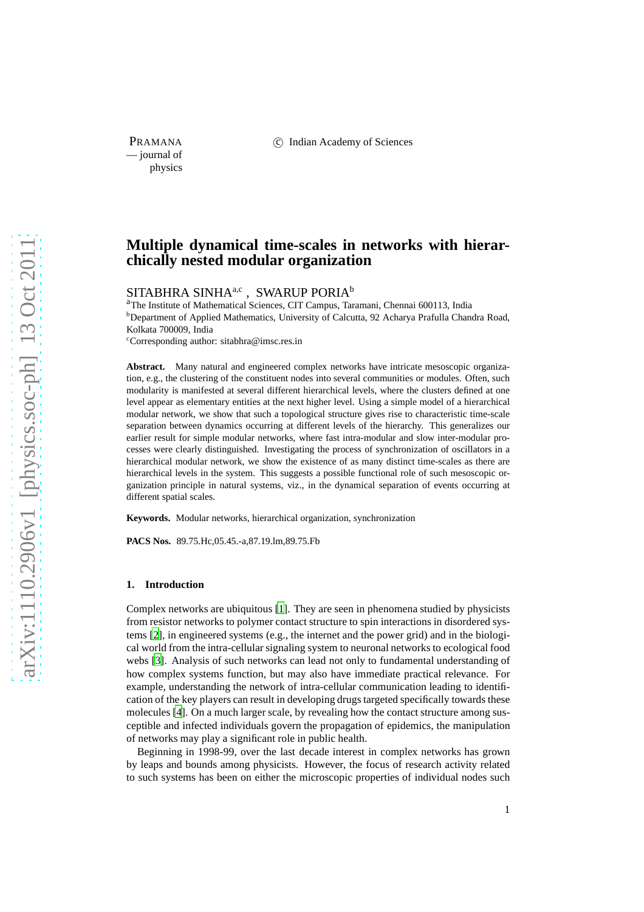PRAMANA 
(C) Indian Academy of Sciences

— journal of physics

# **Multiple dynamical time-scales in networks with hierarchically nested modular organization**

SITABHRA SINHA<br/>a,c , SWARUP PORIAb

a<br>The Institute of Mathematical Sciences, CIT Campus, Taramani, Chennai 600113, India <sup>b</sup>Department of Applied Mathematics, University of Calcutta, 92 Acharya Prafulla Chandra Road, Kolkata 700009, India

 $c$ <sup>c</sup>Corresponding author: sitabhra@imsc.res.in

**Abstract.** Many natural and engineered complex networks have intricate mesoscopic organization, e.g., the clustering of the constituent nodes into several communities or modules. Often, such modularity is manifested at several different hierarchical levels, where the clusters defined at one level appear as elementary entities at the next higher level. Using a simple model of a hierarchical modular network, we show that such a topological structure gives rise to characteristic time-scale separation between dynamics occurring at different levels of the hierarchy. This generalizes our earlier result for simple modular networks, where fast intra-modular and slow inter-modular processes were clearly distinguished. Investigating the process of synchronization of oscillators in a hierarchical modular network, we show the existence of as many distinct time-scales as there are hierarchical levels in the system. This suggests a possible functional role of such mesoscopic organization principle in natural systems, viz., in the dynamical separation of events occurring at different spatial scales.

**Keywords.** Modular networks, hierarchical organization, synchronization

**PACS Nos.** 89.75.Hc,05.45.-a,87.19.lm,89.75.Fb

### **1. Introduction**

Complex networks are ubiquitous [\[1](#page-8-0)]. They are seen in phenomena studied by physicists from resistor networks to polymer contact structure to spin interactions in disordered systems [\[2\]](#page-8-1), in engineered systems (e.g., the internet and the power grid) and in the biological world from the intra-cellular signaling system to neuronal networks to ecological food webs [\[3\]](#page-8-2). Analysis of such networks can lead not only to fundamental understanding of how complex systems function, but may also have immediate practical relevance. For example, understanding the network of intra-cellular communication leading to identification of the key players can result in developing drugs targeted specifically towards these molecules [\[4\]](#page-8-3). On a much larger scale, by revealing how the contact structure among susceptible and infected individuals govern the propagation of epidemics, the manipulation of networks may play a significant role in public health.

Beginning in 1998-99, over the last decade interest in complex networks has grown by leaps and bounds among physicists. However, the focus of research activity related to such systems has been on either the microscopic properties of individual nodes such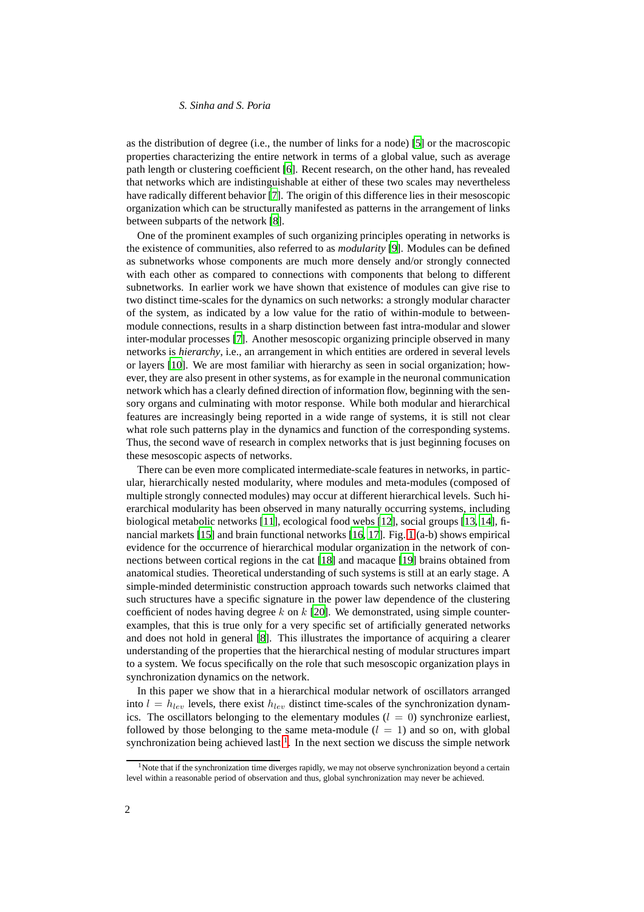# *S. Sinha and S. Poria*

as the distribution of degree (i.e., the number of links for a node) [\[5\]](#page-9-0) or the macroscopic properties characterizing the entire network in terms of a global value, such as average path length or clustering coefficient [\[6\]](#page-9-1). Recent research, on the other hand, has revealed that networks which are indistinguishable at either of these two scales may nevertheless have radically different behavior [\[7](#page-9-2)]. The origin of this difference lies in their mesoscopic organization which can be structurally manifested as patterns in the arrangement of links between subparts of the network [\[8](#page-9-3)].

One of the prominent examples of such organizing principles operating in networks is the existence of communities, also referred to as *modularity* [\[9\]](#page-9-4). Modules can be defined as subnetworks whose components are much more densely and/or strongly connected with each other as compared to connections with components that belong to different subnetworks. In earlier work we have shown that existence of modules can give rise to two distinct time-scales for the dynamics on such networks: a strongly modular character of the system, as indicated by a low value for the ratio of within-module to betweenmodule connections, results in a sharp distinction between fast intra-modular and slower inter-modular processes [\[7](#page-9-2)]. Another mesoscopic organizing principle observed in many networks is *hierarchy*, i.e., an arrangement in which entities are ordered in several levels or layers [\[10](#page-9-5)]. We are most familiar with hierarchy as seen in social organization; however, they are also present in other systems, as for example in the neuronal communication network which has a clearly defined direction of information flow, beginning with the sensory organs and culminating with motor response. While both modular and hierarchical features are increasingly being reported in a wide range of systems, it is still not clear what role such patterns play in the dynamics and function of the corresponding systems. Thus, the second wave of research in complex networks that is just beginning focuses on these mesoscopic aspects of networks.

There can be even more complicated intermediate-scale features in networks, in particular, hierarchically nested modularity, where modules and meta-modules (composed of multiple strongly connected modules) may occur at different hierarchical levels. Such hierarchical modularity has been observed in many naturally occurring systems, including biological metabolic networks [\[11](#page-9-6)], ecological food webs [\[12](#page-9-7)], social groups [\[13,](#page-9-8) [14\]](#page-9-9), financial markets [\[15](#page-9-10)] and brain functional networks [\[16,](#page-9-11) [17](#page-9-12)]. Fig. [1](#page-3-0) (a-b) shows empirical evidence for the occurrence of hierarchical modular organization in the network of connections between cortical regions in the cat [\[18\]](#page-9-13) and macaque [\[19\]](#page-9-14) brains obtained from anatomical studies. Theoretical understanding of such systems is still at an early stage. A simple-minded deterministic construction approach towards such networks claimed that such structures have a specific signature in the power law dependence of the clustering coefficient of nodes having degree k on  $k$  [\[20\]](#page-9-15). We demonstrated, using simple counterexamples, that this is true only for a very specific set of artificially generated networks and does not hold in general [\[8\]](#page-9-3). This illustrates the importance of acquiring a clearer understanding of the properties that the hierarchical nesting of modular structures impart to a system. We focus specifically on the role that such mesoscopic organization plays in synchronization dynamics on the network.

In this paper we show that in a hierarchical modular network of oscillators arranged into  $l = h_{lev}$  levels, there exist  $h_{lev}$  distinct time-scales of the synchronization dynamics. The oscillators belonging to the elementary modules ( $l = 0$ ) synchronize earliest, followed by those belonging to the same meta-module  $(l = 1)$  and so on, with global synchronization being achieved last  $<sup>1</sup>$  $<sup>1</sup>$  $<sup>1</sup>$ . In the next section we discuss the simple network</sup>

<span id="page-1-0"></span><sup>&</sup>lt;sup>1</sup>Note that if the synchronization time diverges rapidly, we may not observe synchronization beyond a certain level within a reasonable period of observation and thus, global synchronization may never be achieved.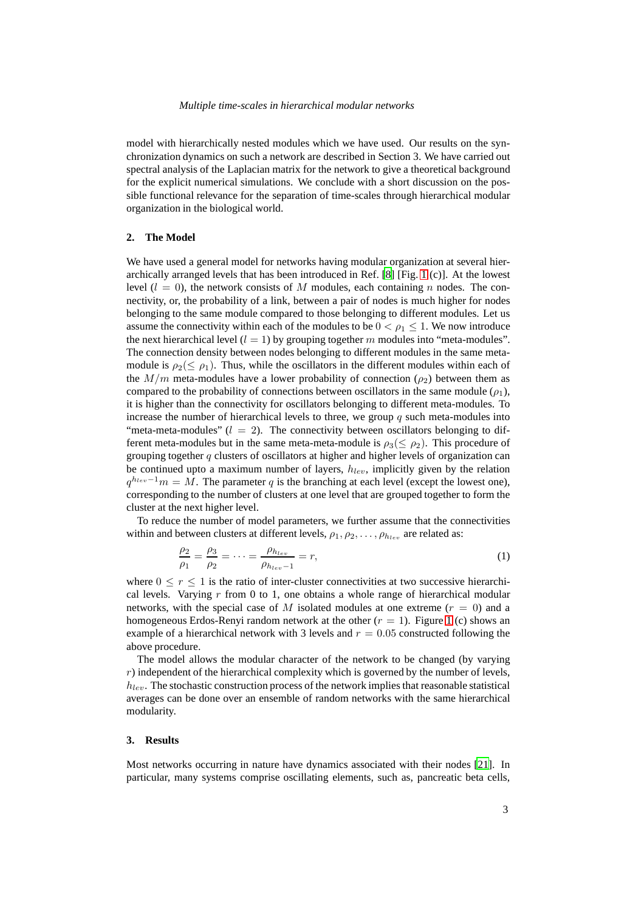### *Multiple time-scales in hierarchical modular networks*

model with hierarchically nested modules which we have used. Our results on the synchronization dynamics on such a network are described in Section 3. We have carried out spectral analysis of the Laplacian matrix for the network to give a theoretical background for the explicit numerical simulations. We conclude with a short discussion on the possible functional relevance for the separation of time-scales through hierarchical modular organization in the biological world.

#### **2. The Model**

We have used a general model for networks having modular organization at several hierarchically arranged levels that has been introduced in Ref. [\[8](#page-9-3)] [Fig. [1](#page-3-0) (c)]. At the lowest level  $(l = 0)$ , the network consists of M modules, each containing n nodes. The connectivity, or, the probability of a link, between a pair of nodes is much higher for nodes belonging to the same module compared to those belonging to different modules. Let us assume the connectivity within each of the modules to be  $0 < \rho_1 < 1$ . We now introduce the next hierarchical level  $(l = 1)$  by grouping together m modules into "meta-modules". The connection density between nodes belonging to different modules in the same metamodule is  $\rho_2(\leq \rho_1)$ . Thus, while the oscillators in the different modules within each of the  $M/m$  meta-modules have a lower probability of connection ( $\rho_2$ ) between them as compared to the probability of connections between oscillators in the same module ( $\rho_1$ ), it is higher than the connectivity for oscillators belonging to different meta-modules. To increase the number of hierarchical levels to three, we group  $q$  such meta-modules into "meta-meta-modules"  $(l = 2)$ . The connectivity between oscillators belonging to different meta-modules but in the same meta-meta-module is  $\rho_3(\leq \rho_2)$ . This procedure of grouping together  $q$  clusters of oscillators at higher and higher levels of organization can be continued upto a maximum number of layers,  $h_{lev}$ , implicitly given by the relation  $q^{h_{lev}-1}m = \overline{M}$ . The parameter q is the branching at each level (except the lowest one), corresponding to the number of clusters at one level that are grouped together to form the cluster at the next higher level.

To reduce the number of model parameters, we further assume that the connectivities within and between clusters at different levels,  $\rho_1, \rho_2, \ldots, \rho_{h_{\text{new}}}$  are related as:

$$
\frac{\rho_2}{\rho_1} = \frac{\rho_3}{\rho_2} = \dots = \frac{\rho_{h_{lev}}}{\rho_{h_{lev}-1}} = r,\tag{1}
$$

where  $0 \le r \le 1$  is the ratio of inter-cluster connectivities at two successive hierarchical levels. Varying  $r$  from 0 to 1, one obtains a whole range of hierarchical modular networks, with the special case of M isolated modules at one extreme  $(r = 0)$  and a homogeneous Erdos-Renyi random network at the other  $(r = 1)$  $(r = 1)$  $(r = 1)$ . Figure 1 (c) shows an example of a hierarchical network with 3 levels and  $r = 0.05$  constructed following the above procedure.

The model allows the modular character of the network to be changed (by varying  $r$ ) independent of the hierarchical complexity which is governed by the number of levels,  $h_{lev}$ . The stochastic construction process of the network implies that reasonable statistical averages can be done over an ensemble of random networks with the same hierarchical modularity.

## **3. Results**

Most networks occurring in nature have dynamics associated with their nodes [\[21\]](#page-9-16). In particular, many systems comprise oscillating elements, such as, pancreatic beta cells,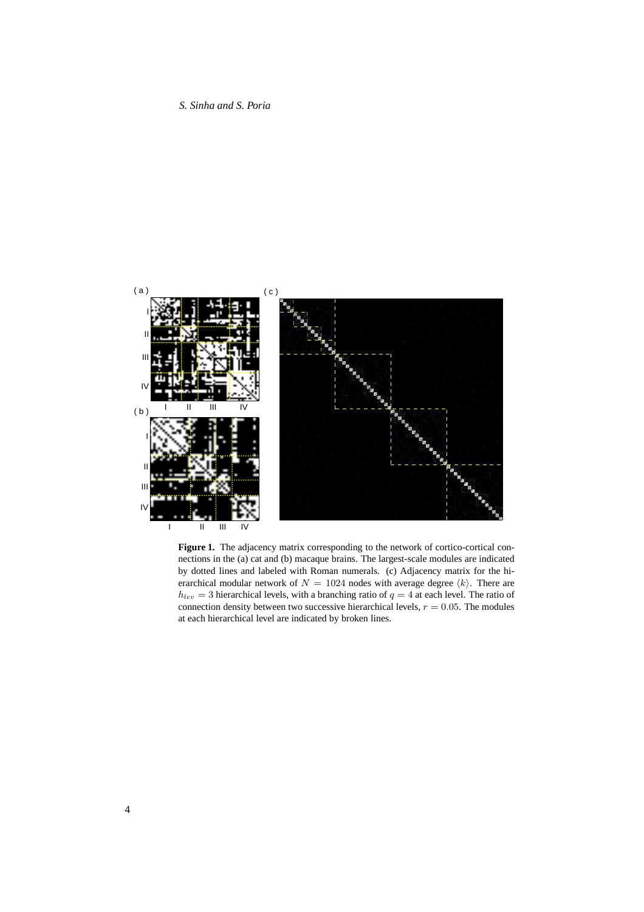

<span id="page-3-0"></span>**Figure 1.** The adjacency matrix corresponding to the network of cortico-cortical connections in the (a) cat and (b) macaque brains. The largest-scale modules are indicated by dotted lines and labeled with Roman numerals. (c) Adjacency matrix for the hierarchical modular network of  $N = 1024$  nodes with average degree  $\langle k \rangle$ . There are  $h_{lev} = 3$  hierarchical levels, with a branching ratio of  $q = 4$  at each level. The ratio of connection density between two successive hierarchical levels,  $r = 0.05$ . The modules at each hierarchical level are indicated by broken lines.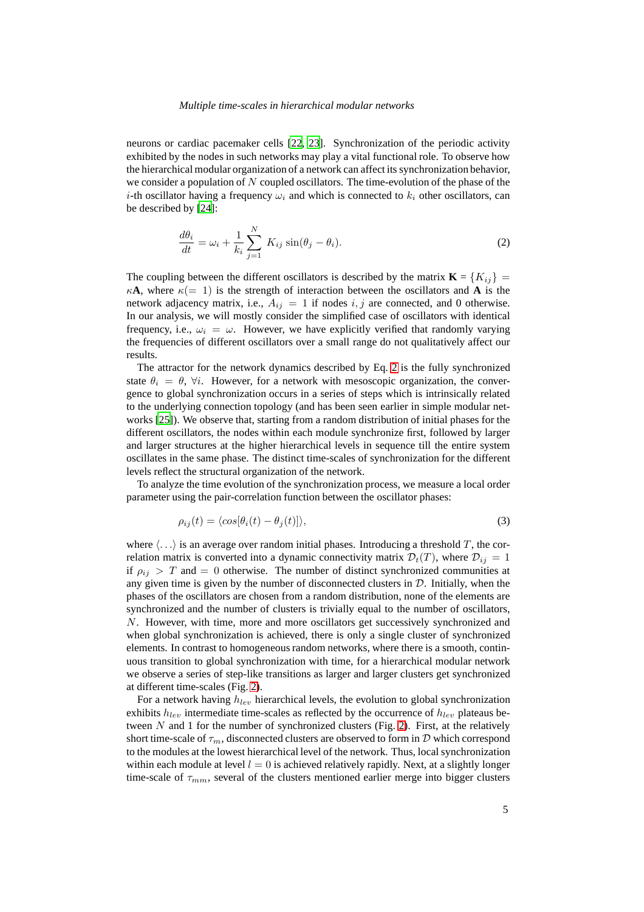## *Multiple time-scales in hierarchical modular networks*

neurons or cardiac pacemaker cells [\[22](#page-9-17), [23](#page-9-18)]. Synchronization of the periodic activity exhibited by the nodes in such networks may play a vital functional role. To observe how the hierarchical modular organization of a network can affect its synchronization behavior, we consider a population of  $N$  coupled oscillators. The time-evolution of the phase of the i-th oscillator having a frequency  $\omega_i$  and which is connected to  $k_i$  other oscillators, can be described by [\[24](#page-9-19)]:

<span id="page-4-0"></span>
$$
\frac{d\theta_i}{dt} = \omega_i + \frac{1}{k_i} \sum_{j=1}^{N} K_{ij} \sin(\theta_j - \theta_i).
$$
\n(2)

The coupling between the different oscillators is described by the matrix  $\mathbf{K} = \{K_{ij}\}$  $\kappa$ **A**, where  $\kappa$ (= 1) is the strength of interaction between the oscillators and **A** is the network adjacency matrix, i.e.,  $A_{ij} = 1$  if nodes i, j are connected, and 0 otherwise. In our analysis, we will mostly consider the simplified case of oscillators with identical frequency, i.e.,  $\omega_i = \omega$ . However, we have explicitly verified that randomly varying the frequencies of different oscillators over a small range do not qualitatively affect our results.

The attractor for the network dynamics described by Eq. [2](#page-4-0) is the fully synchronized state  $\theta_i = \theta$ ,  $\forall i$ . However, for a network with mesoscopic organization, the convergence to global synchronization occurs in a series of steps which is intrinsically related to the underlying connection topology (and has been seen earlier in simple modular networks [\[25\]](#page-9-20)). We observe that, starting from a random distribution of initial phases for the different oscillators, the nodes within each module synchronize first, followed by larger and larger structures at the higher hierarchical levels in sequence till the entire system oscillates in the same phase. The distinct time-scales of synchronization for the different levels reflect the structural organization of the network.

To analyze the time evolution of the synchronization process, we measure a local order parameter using the pair-correlation function between the oscillator phases:

$$
\rho_{ij}(t) = \langle \cos[\theta_i(t) - \theta_j(t)] \rangle,
$$
\n(3)

where  $\langle \ldots \rangle$  is an average over random initial phases. Introducing a threshold T, the correlation matrix is converted into a dynamic connectivity matrix  $\mathcal{D}_t(T)$ , where  $\mathcal{D}_{ij} = 1$ if  $\rho_{ij} > T$  and  $= 0$  otherwise. The number of distinct synchronized communities at any given time is given by the number of disconnected clusters in  $D$ . Initially, when the phases of the oscillators are chosen from a random distribution, none of the elements are synchronized and the number of clusters is trivially equal to the number of oscillators, N. However, with time, more and more oscillators get successively synchronized and when global synchronization is achieved, there is only a single cluster of synchronized elements. In contrast to homogeneous random networks, where there is a smooth, continuous transition to global synchronization with time, for a hierarchical modular network we observe a series of step-like transitions as larger and larger clusters get synchronized at different time-scales (Fig. [2\)](#page-5-0).

For a network having  $h_{lev}$  hierarchical levels, the evolution to global synchronization exhibits  $h_{lev}$  intermediate time-scales as reflected by the occurrence of  $h_{lev}$  plateaus between  $N$  and 1 for the number of synchronized clusters (Fig. [2\)](#page-5-0). First, at the relatively short time-scale of  $\tau_m$ , disconnected clusters are observed to form in D which correspond to the modules at the lowest hierarchical level of the network. Thus, local synchronization within each module at level  $l = 0$  is achieved relatively rapidly. Next, at a slightly longer time-scale of  $\tau_{mm}$ , several of the clusters mentioned earlier merge into bigger clusters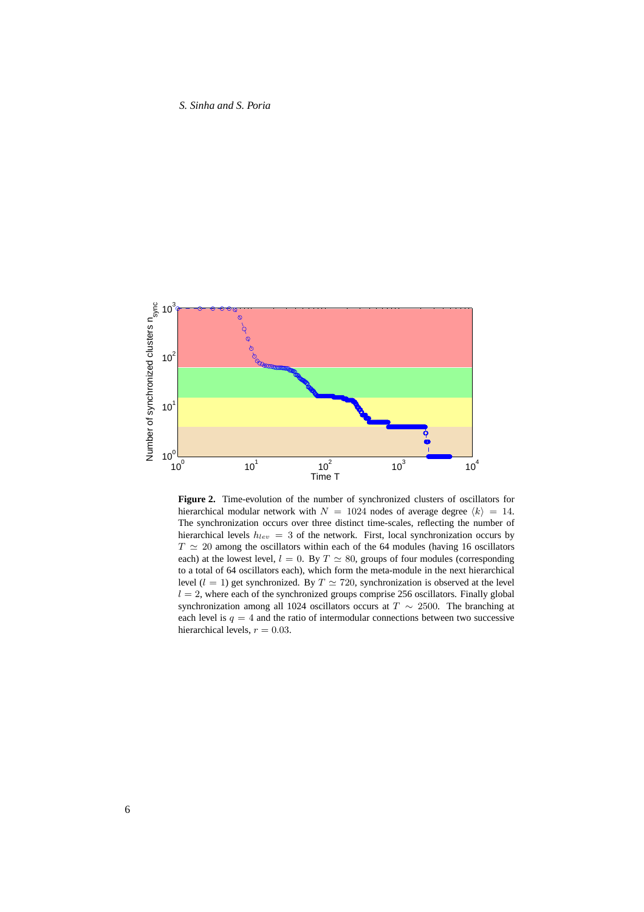*S. Sinha and S. Poria*



<span id="page-5-0"></span>**Figure 2.** Time-evolution of the number of synchronized clusters of oscillators for hierarchical modular network with  $N = 1024$  nodes of average degree  $\langle k \rangle = 14$ . The synchronization occurs over three distinct time-scales, reflecting the number of hierarchical levels  $h_{lev} = 3$  of the network. First, local synchronization occurs by  $T \simeq 20$  among the oscillators within each of the 64 modules (having 16 oscillators each) at the lowest level,  $l = 0$ . By  $T \simeq 80$ , groups of four modules (corresponding to a total of 64 oscillators each), which form the meta-module in the next hierarchical level ( $l = 1$ ) get synchronized. By  $T \simeq 720$ , synchronization is observed at the level  $l = 2$ , where each of the synchronized groups comprise 256 oscillators. Finally global synchronization among all 1024 oscillators occurs at  $T \sim 2500$ . The branching at each level is  $q = 4$  and the ratio of intermodular connections between two successive hierarchical levels,  $r = 0.03$ .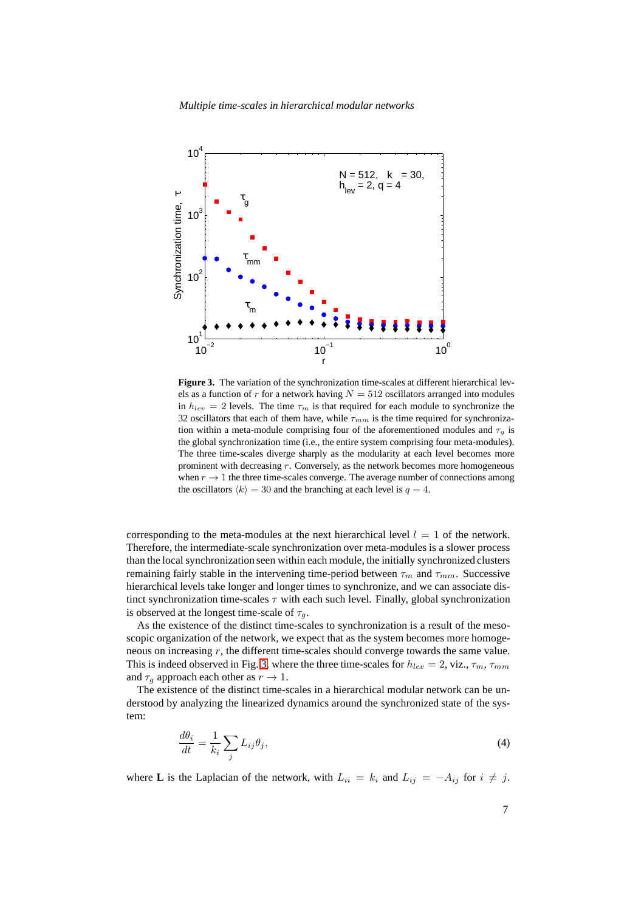*Multiple time-scales in hierarchical modular networks*



<span id="page-6-0"></span>**Figure 3.** The variation of the synchronization time-scales at different hierarchical levels as a function of r for a network having  $N = 512$  oscillators arranged into modules in  $h_{lev} = 2$  levels. The time  $\tau_m$  is that required for each module to synchronize the 32 oscillators that each of them have, while  $\tau_{mm}$  is the time required for synchronization within a meta-module comprising four of the aforementioned modules and  $\tau<sub>q</sub>$  is the global synchronization time (i.e., the entire system comprising four meta-modules). The three time-scales diverge sharply as the modularity at each level becomes more prominent with decreasing  $r$ . Conversely, as the network becomes more homogeneous when  $r \to 1$  the three time-scales converge. The average number of connections among the oscillators  $\langle k \rangle = 30$  and the branching at each level is  $q = 4$ .

corresponding to the meta-modules at the next hierarchical level  $l = 1$  of the network. Therefore, the intermediate-scale synchronization over meta-modules is a slower process than the local synchronization seen within each module, the initially synchronized clusters remaining fairly stable in the intervening time-period between  $\tau_m$  and  $\tau_{mm}$ . Successive hierarchical levels take longer and longer times to synchronize, and we can associate distinct synchronization time-scales  $\tau$  with each such level. Finally, global synchronization is observed at the longest time-scale of  $\tau_q$ .

As the existence of the distinct time-scales to synchronization is a result of the mesoscopic organization of the network, we expect that as the system becomes more homogeneous on increasing r, the different time-scales should converge towards the same value. This is indeed observed in Fig. [3,](#page-6-0) where the three time-scales for  $h_{lev} = 2$ , viz.,  $\tau_m$ ,  $\tau_{mm}$ and  $\tau_q$  approach each other as  $r \to 1$ .

<span id="page-6-1"></span>The existence of the distinct time-scales in a hierarchical modular network can be understood by analyzing the linearized dynamics around the synchronized state of the system:

$$
\frac{d\theta_i}{dt} = \frac{1}{k_i} \sum_j L_{ij} \theta_j,\tag{4}
$$

where **L** is the Laplacian of the network, with  $L_{ii} = k_i$  and  $L_{ij} = -A_{ij}$  for  $i \neq j$ .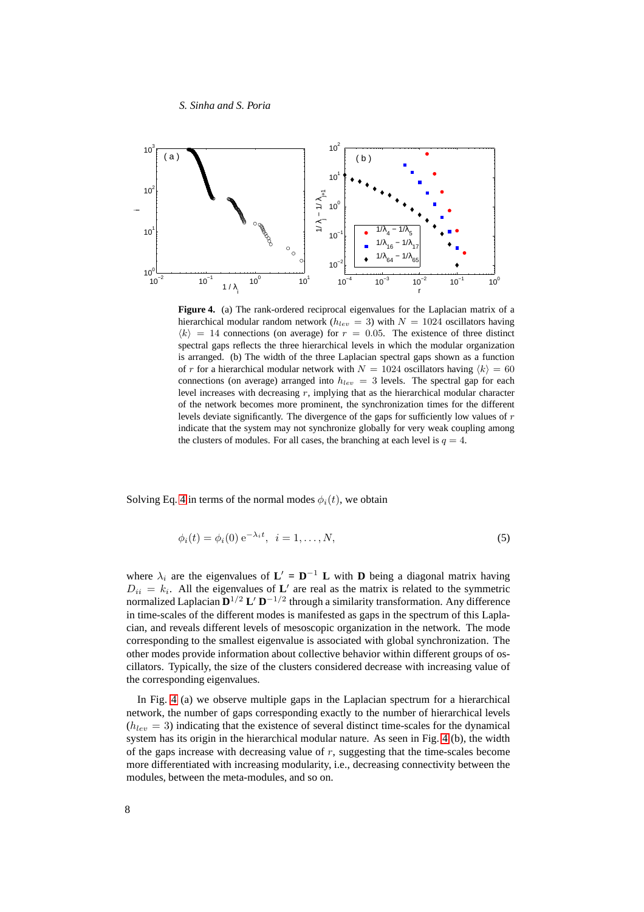#### *S. Sinha and S. Poria*



<span id="page-7-0"></span>**Figure 4.** (a) The rank-ordered reciprocal eigenvalues for the Laplacian matrix of a hierarchical modular random network ( $h_{lev} = 3$ ) with  $N = 1024$  oscillators having  $\langle k \rangle$  = 14 connections (on average) for  $r = 0.05$ . The existence of three distinct spectral gaps reflects the three hierarchical levels in which the modular organization is arranged. (b) The width of the three Laplacian spectral gaps shown as a function of r for a hierarchical modular network with  $N = 1024$  oscillators having  $\langle k \rangle = 60$ connections (on average) arranged into  $h_{lev} = 3$  levels. The spectral gap for each level increases with decreasing  $r$ , implying that as the hierarchical modular character of the network becomes more prominent, the synchronization times for the different levels deviate significantly. The divergence of the gaps for sufficiently low values of  $r$ indicate that the system may not synchronize globally for very weak coupling among the clusters of modules. For all cases, the branching at each level is  $q = 4$ .

Solving Eq. [4](#page-6-1) in terms of the normal modes  $\phi_i(t)$ , we obtain

$$
\phi_i(t) = \phi_i(0) e^{-\lambda_i t}, \quad i = 1, \dots, N,
$$
\n
$$
(5)
$$

where  $\lambda_i$  are the eigenvalues of  $\mathbf{L}' = \mathbf{D}^{-1} \mathbf{L}$  with  $\mathbf{D}$  being a diagonal matrix having  $D_{ii} = k_i$ . All the eigenvalues of L' are real as the matrix is related to the symmetric normalized Laplacian  $\mathbf{D}^{1/2}$  **L**'  $\mathbf{D}^{-1/2}$  through a similarity transformation. Any difference in time-scales of the different modes is manifested as gaps in the spectrum of this Laplacian, and reveals different levels of mesoscopic organization in the network. The mode corresponding to the smallest eigenvalue is associated with global synchronization. The other modes provide information about collective behavior within different groups of oscillators. Typically, the size of the clusters considered decrease with increasing value of the corresponding eigenvalues.

In Fig. [4](#page-7-0) (a) we observe multiple gaps in the Laplacian spectrum for a hierarchical network, the number of gaps corresponding exactly to the number of hierarchical levels  $(h_{lev} = 3)$  indicating that the existence of several distinct time-scales for the dynamical system has its origin in the hierarchical modular nature. As seen in Fig. [4](#page-7-0) (b), the width of the gaps increase with decreasing value of  $r$ , suggesting that the time-scales become more differentiated with increasing modularity, i.e., decreasing connectivity between the modules, between the meta-modules, and so on.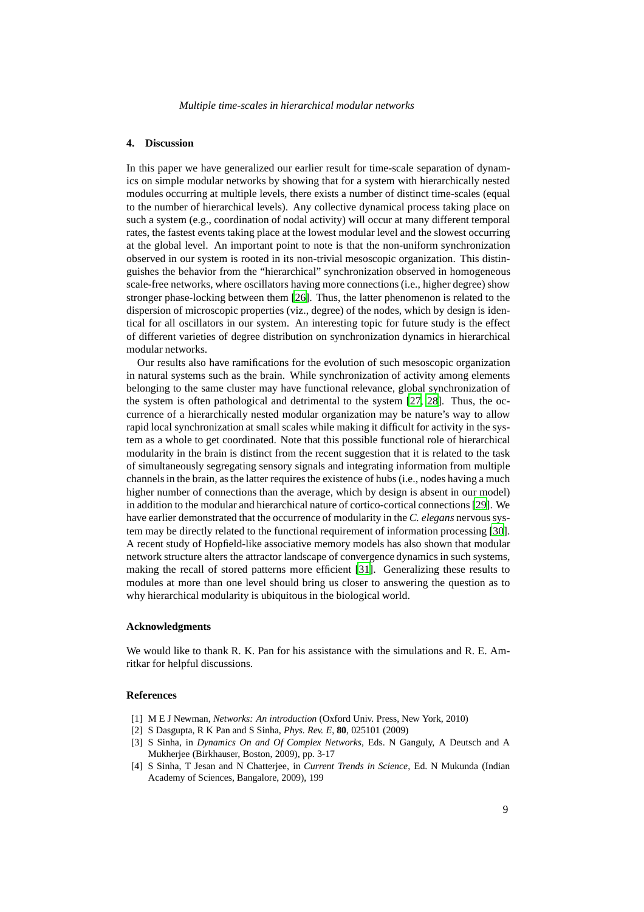## **4. Discussion**

In this paper we have generalized our earlier result for time-scale separation of dynamics on simple modular networks by showing that for a system with hierarchically nested modules occurring at multiple levels, there exists a number of distinct time-scales (equal to the number of hierarchical levels). Any collective dynamical process taking place on such a system (e.g., coordination of nodal activity) will occur at many different temporal rates, the fastest events taking place at the lowest modular level and the slowest occurring at the global level. An important point to note is that the non-uniform synchronization observed in our system is rooted in its non-trivial mesoscopic organization. This distinguishes the behavior from the "hierarchical" synchronization observed in homogeneous scale-free networks, where oscillators having more connections (i.e., higher degree) show stronger phase-locking between them [\[26\]](#page-9-21). Thus, the latter phenomenon is related to the dispersion of microscopic properties (viz., degree) of the nodes, which by design is identical for all oscillators in our system. An interesting topic for future study is the effect of different varieties of degree distribution on synchronization dynamics in hierarchical modular networks.

Our results also have ramifications for the evolution of such mesoscopic organization in natural systems such as the brain. While synchronization of activity among elements belonging to the same cluster may have functional relevance, global synchronization of the system is often pathological and detrimental to the system [\[27,](#page-9-22) [28\]](#page-9-23). Thus, the occurrence of a hierarchically nested modular organization may be nature's way to allow rapid local synchronization at small scales while making it difficult for activity in the system as a whole to get coordinated. Note that this possible functional role of hierarchical modularity in the brain is distinct from the recent suggestion that it is related to the task of simultaneously segregating sensory signals and integrating information from multiple channels in the brain, as the latter requires the existence of hubs (i.e., nodes having a much higher number of connections than the average, which by design is absent in our model) in addition to the modular and hierarchical nature of cortico-cortical connections [\[29\]](#page-9-24). We have earlier demonstrated that the occurrence of modularity in the *C. elegans* nervous system may be directly related to the functional requirement of information processing [\[30](#page-9-25)]. A recent study of Hopfield-like associative memory models has also shown that modular network structure alters the attractor landscape of convergence dynamics in such systems, making the recall of stored patterns more efficient [\[31\]](#page-9-26). Generalizing these results to modules at more than one level should bring us closer to answering the question as to why hierarchical modularity is ubiquitous in the biological world.

# **Acknowledgments**

We would like to thank R. K. Pan for his assistance with the simulations and R. E. Amritkar for helpful discussions.

# **References**

- <span id="page-8-0"></span>[1] M E J Newman, *Networks: An introduction* (Oxford Univ. Press, New York, 2010)
- <span id="page-8-1"></span>[2] S Dasgupta, R K Pan and S Sinha, *Phys. Rev. E*, **80**, 025101 (2009)
- <span id="page-8-2"></span>[3] S Sinha, in *Dynamics On and Of Complex Networks*, Eds. N Ganguly, A Deutsch and A Mukherjee (Birkhauser, Boston, 2009), pp. 3-17
- <span id="page-8-3"></span>[4] S Sinha, T Jesan and N Chatterjee, in *Current Trends in Science*, Ed. N Mukunda (Indian Academy of Sciences, Bangalore, 2009), 199